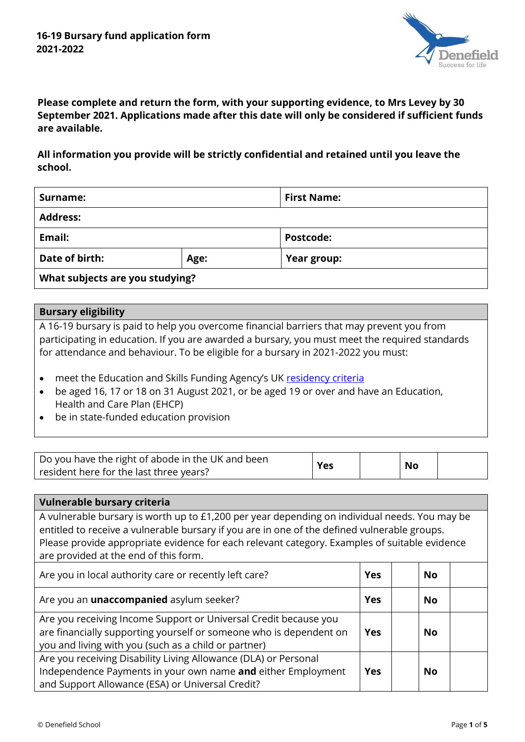

**Please complete and return the form, with your supporting evidence, to Mrs Levey by 30 September 2021. Applications made after this date will only be considered if sufficient funds are available.**

**All information you provide will be strictly confidential and retained until you leave the school.**

| Surname:                        |      | <b>First Name:</b> |  |  |  |
|---------------------------------|------|--------------------|--|--|--|
| <b>Address:</b>                 |      |                    |  |  |  |
| Email:                          |      | Postcode:          |  |  |  |
| Date of birth:                  | Age: | Year group:        |  |  |  |
| What subjects are you studying? |      |                    |  |  |  |

## **Bursary eligibility**

A 16-19 bursary is paid to help you overcome financial barriers that may prevent you from participating in education. If you are awarded a bursary, you must meet the required standards for attendance and behaviour. To be eligible for a bursary in 2021-2022 you must:

- meet the Education and Skills Funding Agency's UK [residency criteria](https://assets.publishing.service.gov.uk/government/uploads/system/uploads/attachment_data/file/1007458/16_to_19_funding_guidance_Regulations_2021_to_2022-Version_1.2.pdf)
- be aged 16, 17 or 18 on 31 August 2021, or be aged 19 or over and have an Education, Health and Care Plan (EHCP)
- be in state-funded education provision

| Do you have the right of abode in the UK and been | Yes | <b>No</b> |  |
|---------------------------------------------------|-----|-----------|--|
| resident here for the last three years?           |     |           |  |

| Vulnerable bursary criteria                                                                                                                                                                                                                                                                                                             |            |           |  |  |
|-----------------------------------------------------------------------------------------------------------------------------------------------------------------------------------------------------------------------------------------------------------------------------------------------------------------------------------------|------------|-----------|--|--|
| A vulnerable bursary is worth up to £1,200 per year depending on individual needs. You may be<br>entitled to receive a vulnerable bursary if you are in one of the defined vulnerable groups.<br>Please provide appropriate evidence for each relevant category. Examples of suitable evidence<br>are provided at the end of this form. |            |           |  |  |
| Are you in local authority care or recently left care?                                                                                                                                                                                                                                                                                  | <b>Yes</b> | <b>No</b> |  |  |
| Are you an <i>unaccompanied</i> asylum seeker?                                                                                                                                                                                                                                                                                          | <b>Yes</b> | No        |  |  |
| Are you receiving Income Support or Universal Credit because you<br>are financially supporting yourself or someone who is dependent on<br>you and living with you (such as a child or partner)                                                                                                                                          | <b>Yes</b> | No        |  |  |
| Are you receiving Disability Living Allowance (DLA) or Personal<br>Independence Payments in your own name and either Employment<br>and Support Allowance (ESA) or Universal Credit?                                                                                                                                                     | <b>Yes</b> | <b>No</b> |  |  |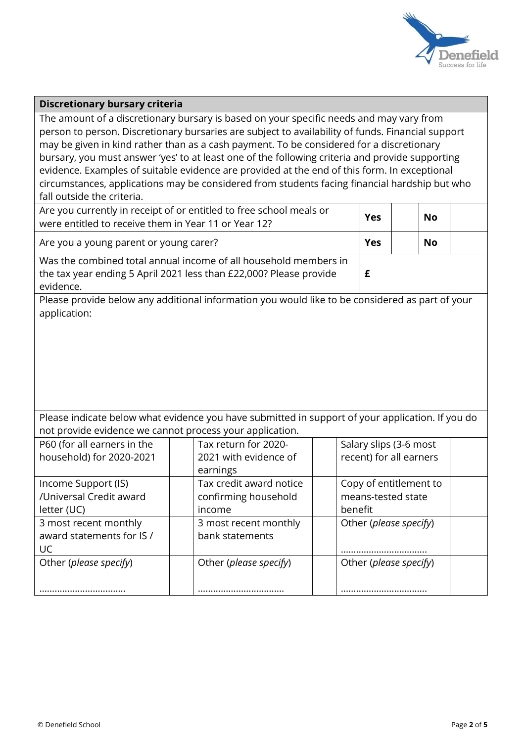

#### **Discretionary bursary criteria**

The amount of a discretionary bursary is based on your specific needs and may vary from person to person. Discretionary bursaries are subject to availability of funds. Financial support may be given in kind rather than as a cash payment. To be considered for a discretionary bursary, you must answer 'yes' to at least one of the following criteria and provide supporting evidence. Examples of suitable evidence are provided at the end of this form. In exceptional circumstances, applications may be considered from students facing financial hardship but who fall outside the criteria.

| Are you currently in receipt of or entitled to free school meals or<br>were entitled to receive them in Year 11 or Year 12?                         | <b>Yes</b> | <b>No</b> |  |
|-----------------------------------------------------------------------------------------------------------------------------------------------------|------------|-----------|--|
| Are you a young parent or young carer?                                                                                                              | Yes        | <b>No</b> |  |
| Was the combined total annual income of all household members in<br>the tax year ending 5 April 2021 less than £22,000? Please provide<br>evidence. |            |           |  |

Please provide below any additional information you would like to be considered as part of your application:

Please indicate below what evidence you have submitted in support of your application. If you do not provide evidence we cannot process your application.

| P60 (for all earners in the | Tax return for 2020-    | Salary slips (3-6 most  |
|-----------------------------|-------------------------|-------------------------|
| household) for 2020-2021    | 2021 with evidence of   | recent) for all earners |
|                             | earnings                |                         |
| Income Support (IS)         | Tax credit award notice | Copy of entitlement to  |
| /Universal Credit award     | confirming household    | means-tested state      |
| letter (UC)                 | income                  | benefit                 |
| 3 most recent monthly       | 3 most recent monthly   | Other (please specify)  |
| award statements for IS /   | bank statements         |                         |
| UC                          |                         |                         |
| Other (please specify)      | Other (please specify)  | Other (please specify)  |
|                             |                         |                         |
|                             |                         |                         |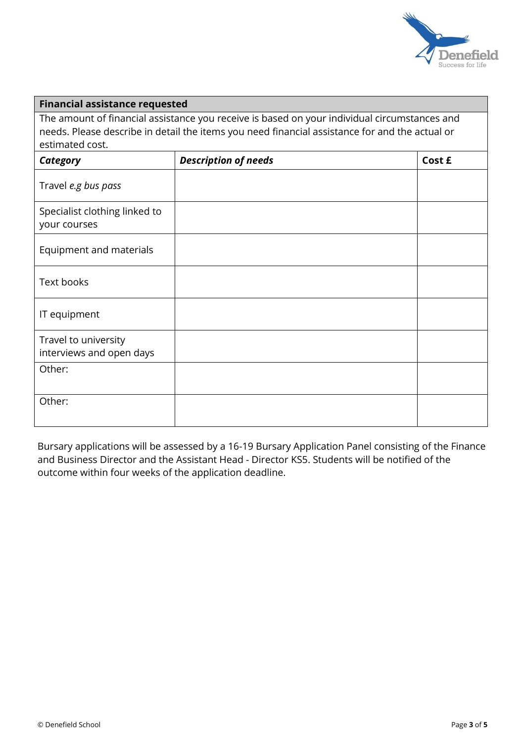

### **Financial assistance requested**

The amount of financial assistance you receive is based on your individual circumstances and needs. Please describe in detail the items you need financial assistance for and the actual or estimated cost.

| Category                                         | <b>Description of needs</b> | Cost £ |
|--------------------------------------------------|-----------------------------|--------|
| Travel e.g bus pass                              |                             |        |
| Specialist clothing linked to<br>your courses    |                             |        |
| Equipment and materials                          |                             |        |
| <b>Text books</b>                                |                             |        |
| IT equipment                                     |                             |        |
| Travel to university<br>interviews and open days |                             |        |
| Other:                                           |                             |        |
| Other:                                           |                             |        |

Bursary applications will be assessed by a 16-19 Bursary Application Panel consisting of the Finance and Business Director and the Assistant Head - Director KS5. Students will be notified of the outcome within four weeks of the application deadline.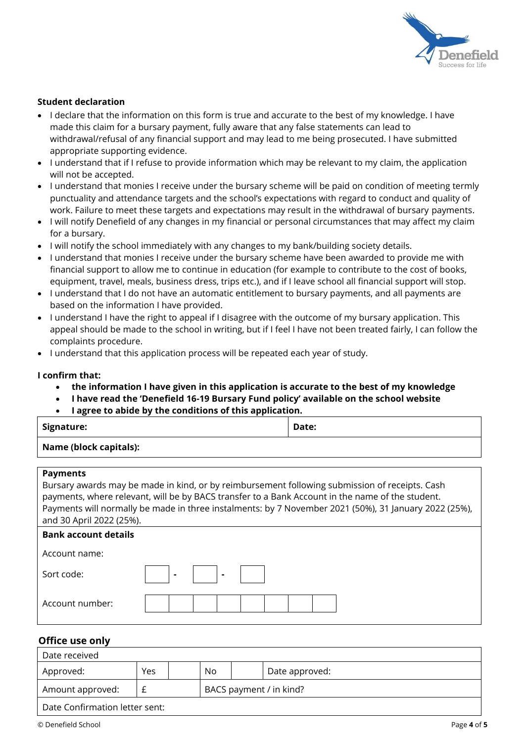

#### **Student declaration**

- I declare that the information on this form is true and accurate to the best of my knowledge. I have made this claim for a bursary payment, fully aware that any false statements can lead to withdrawal/refusal of any financial support and may lead to me being prosecuted. I have submitted appropriate supporting evidence.
- I understand that if I refuse to provide information which may be relevant to my claim, the application will not be accepted.
- I understand that monies I receive under the bursary scheme will be paid on condition of meeting termly punctuality and attendance targets and the school's expectations with regard to conduct and quality of work. Failure to meet these targets and expectations may result in the withdrawal of bursary payments.
- I will notify Denefield of any changes in my financial or personal circumstances that may affect my claim for a bursary.
- I will notify the school immediately with any changes to my bank/building society details.
- I understand that monies I receive under the bursary scheme have been awarded to provide me with financial support to allow me to continue in education (for example to contribute to the cost of books, equipment, travel, meals, business dress, trips etc.), and if I leave school all financial support will stop.
- I understand that I do not have an automatic entitlement to bursary payments, and all payments are based on the information I have provided.
- I understand I have the right to appeal if I disagree with the outcome of my bursary application. This appeal should be made to the school in writing, but if I feel I have not been treated fairly, I can follow the complaints procedure.
- I understand that this application process will be repeated each year of study.

#### **I confirm that:**

- **the information I have given in this application is accurate to the best of my knowledge**
- **I have read the 'Denefield 16-19 Bursary Fund policy' available on the school website**
- **I agree to abide by the conditions of this application.**

| Signature:             | Date: |
|------------------------|-------|
| Name (block capitals): |       |

#### **Payments**

Bursary awards may be made in kind, or by reimbursement following submission of receipts. Cash payments, where relevant, will be by BACS transfer to a Bank Account in the name of the student. Payments will normally be made in three instalments: by 7 November 2021 (50%), 31 January 2022 (25%), and 30 April 2022 (25%).

| <b>Bank account details</b> |   |                |  |  |  |
|-----------------------------|---|----------------|--|--|--|
| Account name:               |   |                |  |  |  |
| Sort code:                  | ۰ | $\blacksquare$ |  |  |  |
| Account number:             |   |                |  |  |  |
|                             |   |                |  |  |  |

### **Office use only**

| Date received                  |                         |  |    |  |                |  |
|--------------------------------|-------------------------|--|----|--|----------------|--|
| Approved:                      | Yes                     |  | No |  | Date approved: |  |
| Amount approved:               | BACS payment / in kind? |  |    |  |                |  |
| Date Confirmation letter sent: |                         |  |    |  |                |  |